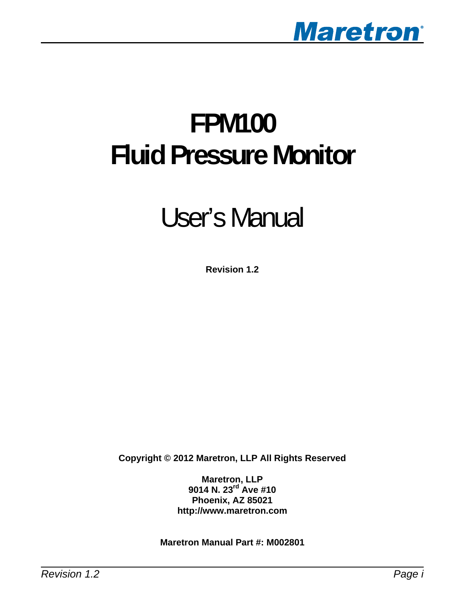

# **FPM100 Fluid Pressure Monitor**

# User's Manual

**Revision 1.2** 

**Copyright © 2012 Maretron, LLP All Rights Reserved** 

**Maretron, LLP 9014 N. 23rd Ave #10 Phoenix, AZ 85021 http://www.maretron.com** 

**Maretron Manual Part #: M002801**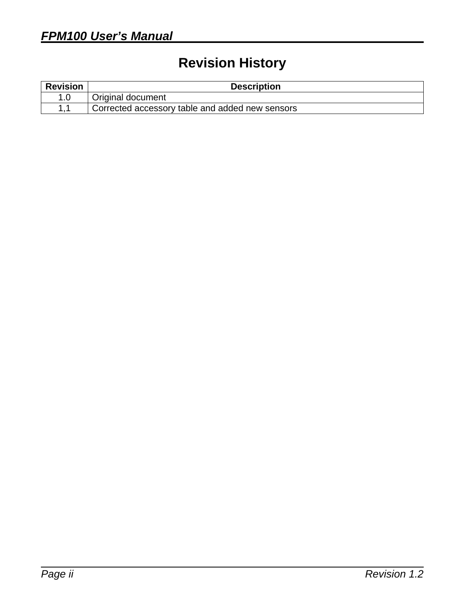# **Revision History**

| <b>Revision</b> | <b>Description</b>                              |  |
|-----------------|-------------------------------------------------|--|
|                 | Original document                               |  |
|                 | Corrected accessory table and added new sensors |  |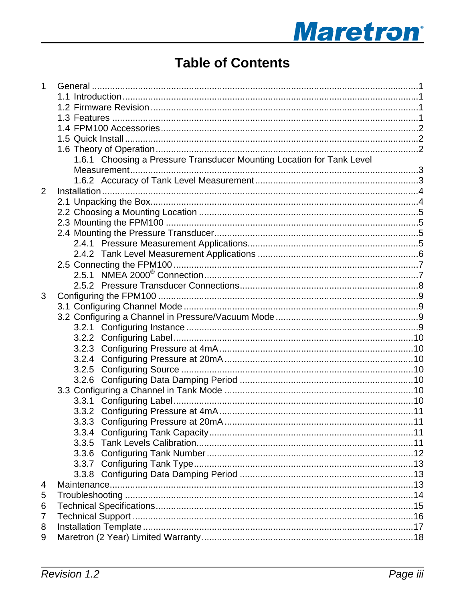# **Maretron**<sup>®</sup>

# **Table of Contents**

| 1              |                                                                       |  |
|----------------|-----------------------------------------------------------------------|--|
|                |                                                                       |  |
|                |                                                                       |  |
|                |                                                                       |  |
|                |                                                                       |  |
|                |                                                                       |  |
|                |                                                                       |  |
|                | 1.6.1 Choosing a Pressure Transducer Mounting Location for Tank Level |  |
|                |                                                                       |  |
|                |                                                                       |  |
| $\overline{2}$ |                                                                       |  |
|                |                                                                       |  |
|                |                                                                       |  |
|                |                                                                       |  |
|                |                                                                       |  |
|                |                                                                       |  |
|                |                                                                       |  |
|                |                                                                       |  |
|                |                                                                       |  |
|                |                                                                       |  |
| 3              |                                                                       |  |
|                |                                                                       |  |
|                |                                                                       |  |
|                |                                                                       |  |
|                |                                                                       |  |
|                |                                                                       |  |
|                |                                                                       |  |
|                |                                                                       |  |
|                |                                                                       |  |
|                |                                                                       |  |
|                |                                                                       |  |
|                |                                                                       |  |
|                |                                                                       |  |
|                |                                                                       |  |
|                |                                                                       |  |
|                |                                                                       |  |
|                |                                                                       |  |
|                |                                                                       |  |
| 4              |                                                                       |  |
| 5              |                                                                       |  |
| 6              |                                                                       |  |
| 7              |                                                                       |  |
| 8              |                                                                       |  |
| 9              |                                                                       |  |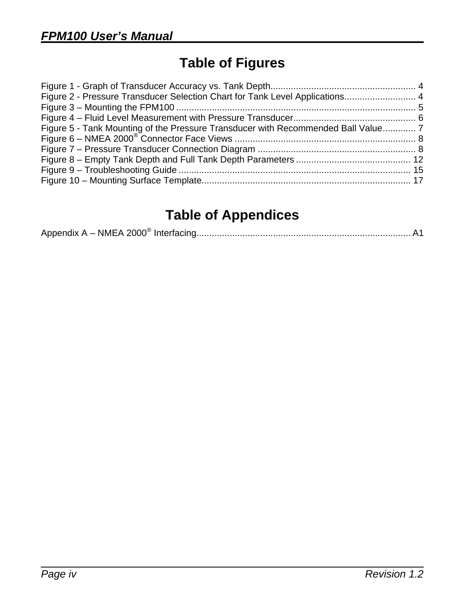# **Table of Figures**

| Figure 2 - Pressure Transducer Selection Chart for Tank Level Applications 4    |  |
|---------------------------------------------------------------------------------|--|
|                                                                                 |  |
|                                                                                 |  |
| Figure 5 - Tank Mounting of the Pressure Transducer with Recommended Ball Value |  |
|                                                                                 |  |
|                                                                                 |  |
|                                                                                 |  |
|                                                                                 |  |
|                                                                                 |  |

# **Table of Appendices**

|--|--|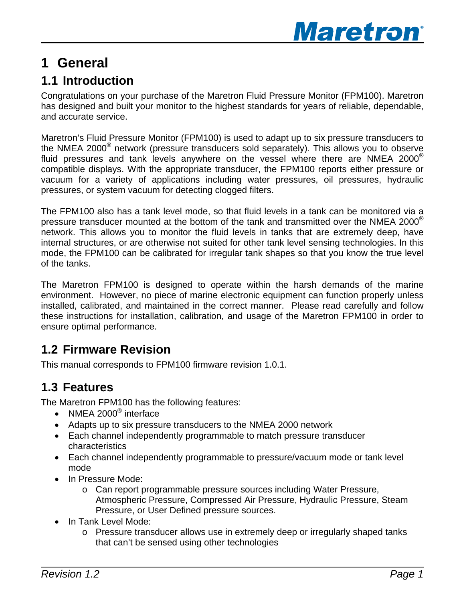

# <span id="page-4-0"></span>**1 General**

## **1.1 Introduction**

Congratulations on your purchase of the Maretron Fluid Pressure Monitor (FPM100). Maretron has designed and built your monitor to the highest standards for years of reliable, dependable, and accurate service.

Maretron's Fluid Pressure Monitor (FPM100) is used to adapt up to six pressure transducers to the NMEA 2000® network (pressure transducers sold separately). This allows you to observe fluid pressures and tank levels anywhere on the vessel where there are NMEA 2000® compatible displays. With the appropriate transducer, the FPM100 reports either pressure or vacuum for a variety of applications including water pressures, oil pressures, hydraulic pressures, or system vacuum for detecting clogged filters.

The FPM100 also has a tank level mode, so that fluid levels in a tank can be monitored via a pressure transducer mounted at the bottom of the tank and transmitted over the NMEA 2000 $^{\circ}$ network. This allows you to monitor the fluid levels in tanks that are extremely deep, have internal structures, or are otherwise not suited for other tank level sensing technologies. In this mode, the FPM100 can be calibrated for irregular tank shapes so that you know the true level of the tanks.

The Maretron FPM100 is designed to operate within the harsh demands of the marine environment. However, no piece of marine electronic equipment can function properly unless installed, calibrated, and maintained in the correct manner. Please read carefully and follow these instructions for installation, calibration, and usage of the Maretron FPM100 in order to ensure optimal performance.

## **1.2 Firmware Revision**

This manual corresponds to FPM100 firmware revision 1.0.1.

## **1.3 Features**

The Maretron FPM100 has the following features:

- NMEA 2000<sup>®</sup> interface
- Adapts up to six pressure transducers to the NMEA 2000 network
- Each channel independently programmable to match pressure transducer characteristics
- Each channel independently programmable to pressure/vacuum mode or tank level mode
- In Pressure Mode:
	- o Can report programmable pressure sources including Water Pressure, Atmospheric Pressure, Compressed Air Pressure, Hydraulic Pressure, Steam Pressure, or User Defined pressure sources.
- In Tank Level Mode:
	- o Pressure transducer allows use in extremely deep or irregularly shaped tanks that can't be sensed using other technologies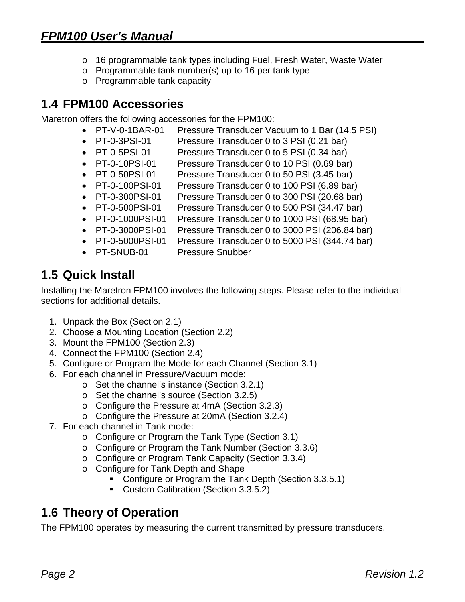- <span id="page-5-0"></span>o 16 programmable tank types including Fuel, Fresh Water, Waste Water
- o Programmable tank number(s) up to 16 per tank type
- o Programmable tank capacity

## **1.4 FPM100 Accessories**

Maretron offers the following accessories for the FPM100:

- PT-V-0-1BAR-01 Pressure Transducer Vacuum to 1 Bar (14.5 PSI)
- PT-0-3PSI-01 Pressure Transducer 0 to 3 PSI (0.21 bar)
- PT-0-5PSI-01 Pressure Transducer 0 to 5 PSI (0.34 bar)
- PT-0-10PSI-01 Pressure Transducer 0 to 10 PSI (0.69 bar)
- PT-0-50PSI-01 Pressure Transducer 0 to 50 PSI (3.45 bar)
- PT-0-100PSI-01 Pressure Transducer 0 to 100 PSI (6.89 bar)
- PT-0-300PSI-01 Pressure Transducer 0 to 300 PSI (20.68 bar)
- PT-0-500PSI-01 Pressure Transducer 0 to 500 PSI (34.47 bar)
- PT-0-1000PSI-01 Pressure Transducer 0 to 1000 PSI (68.95 bar)
- PT-0-3000PSI-01 Pressure Transducer 0 to 3000 PSI (206.84 bar)
- PT-0-5000PSI-01 Pressure Transducer 0 to 5000 PSI (344.74 bar)
- PT-SNUB-01 Pressure Snubber

## **1.5 Quick Install**

Installing the Maretron FPM100 involves the following steps. Please refer to the individual sections for additional details.

- 1. Unpack the Box (Section [2.1\)](#page-7-1)
- 2. Choose a Mounting Location (Section [2.2\)](#page-8-1)
- 3. Mount the FPM100 (Section [2.3](#page-8-2))
- 4. Connect the FPM100 (Section [2.4\)](#page-10-1)
- 5. Configure or Program the Mode for each Channel (Section [3.1\)](#page-12-1)
- 6. For each channel in Pressure/Vacuum mode:
	- o Set the channel's instance (Section [3.2.1\)](#page-12-2)
	- o Set the channel's source (Section [3.2.5\)](#page-13-1)
	- o Configure the Pressure at 4mA (Section [3.2.3](#page-13-2))
	- o Configure the Pressure at 20mA (Section [3.2.4\)](#page-13-3)
- 7. For each channel in Tank mode:
	- o Configure or Program the Tank Type (Section [3.1\)](#page-14-1)
	- o Configure or Program the Tank Number (Section [3.3.6\)](#page-15-1)
	- o Configure or Program Tank Capacity (Section [3.3.4\)](#page-14-2)
	- o Configure for Tank Depth and Shape
		- Configure or Program the Tank Depth (Section [3.3.5.1](#page-14-3))
		- **Custom Calibration (Section [3.3.5.2](#page-15-2))**

## **1.6 Theory of Operation**

The FPM100 operates by measuring the current transmitted by pressure transducers.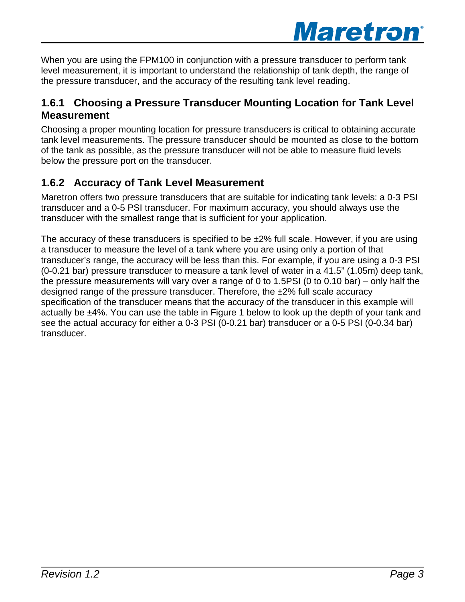

<span id="page-6-0"></span>When you are using the FPM100 in conjunction with a pressure transducer to perform tank level measurement, it is important to understand the relationship of tank depth, the range of the pressure transducer, and the accuracy of the resulting tank level reading.

#### **1.6.1 Choosing a Pressure Transducer Mounting Location for Tank Level Measurement**

Choosing a proper mounting location for pressure transducers is critical to obtaining accurate tank level measurements. The pressure transducer should be mounted as close to the bottom of the tank as possible, as the pressure transducer will not be able to measure fluid levels below the pressure port on the transducer.

### **1.6.2 Accuracy of Tank Level Measurement**

Maretron offers two pressure transducers that are suitable for indicating tank levels: a 0-3 PSI transducer and a 0-5 PSI transducer. For maximum accuracy, you should always use the transducer with the smallest range that is sufficient for your application.

The accuracy of these transducers is specified to be  $\pm 2\%$  full scale. However, if you are using a transducer to measure the level of a tank where you are using only a portion of that transducer's range, the accuracy will be less than this. For example, if you are using a 0-3 PSI (0-0.21 bar) pressure transducer to measure a tank level of water in a 41.5" (1.05m) deep tank, the pressure measurements will vary over a range of 0 to 1.5PSI (0 to 0.10 bar) – only half the designed range of the pressure transducer. Therefore, the ±2% full scale accuracy specification of the transducer means that the accuracy of the transducer in this example will actually be ±4%. You can use the table in [Figure 1](#page-7-2) below to look up the depth of your tank and see the actual accuracy for either a 0-3 PSI (0-0.21 bar) transducer or a 0-5 PSI (0-0.34 bar) transducer.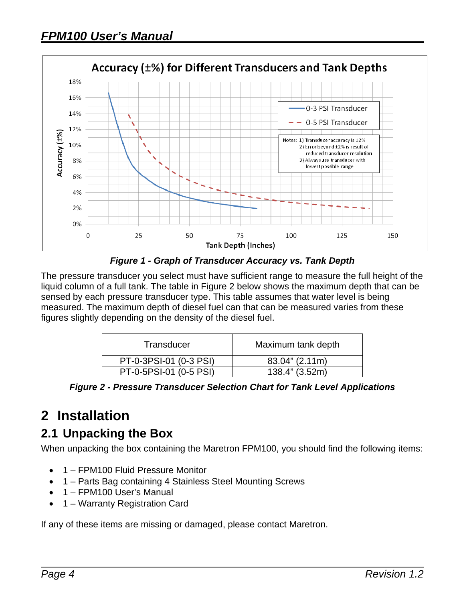<span id="page-7-0"></span>

*Figure 1 - Graph of Transducer Accuracy vs. Tank Depth* 

<span id="page-7-2"></span>The pressure transducer you select must have sufficient range to measure the full height of the liquid column of a full tank. The table in [Figure 2](#page-7-3) below shows the maximum depth that can be sensed by each pressure transducer type. This table assumes that water level is being measured. The maximum depth of diesel fuel can that can be measured varies from these figures slightly depending on the density of the diesel fuel.

| Transducer             | Maximum tank depth |
|------------------------|--------------------|
| PT-0-3PSI-01 (0-3 PSI) | 83.04" (2.11m)     |
| PT-0-5PSI-01 (0-5 PSI) | 138.4" (3.52m)     |

*Figure 2 - Pressure Transducer Selection Chart for Tank Level Applications* 

# <span id="page-7-3"></span>**2 Installation**

## <span id="page-7-1"></span>**2.1 Unpacking the Box**

When unpacking the box containing the Maretron FPM100, you should find the following items:

- 1 FPM100 Fluid Pressure Monitor
- 1 Parts Bag containing 4 Stainless Steel Mounting Screws
- 1 FPM100 User's Manual
- 1 Warranty Registration Card

If any of these items are missing or damaged, please contact Maretron.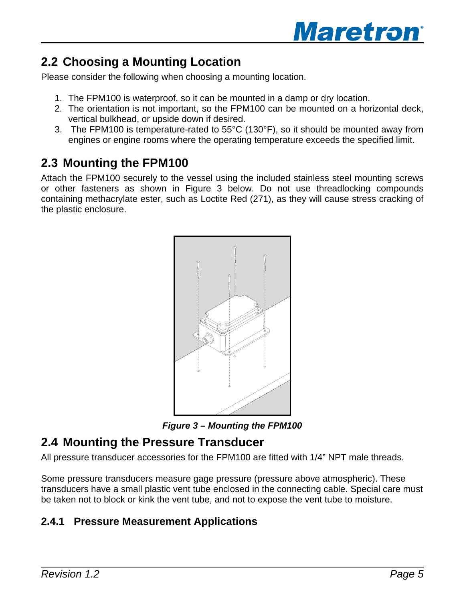

## <span id="page-8-1"></span><span id="page-8-0"></span>**2.2 Choosing a Mounting Location**

Please consider the following when choosing a mounting location.

- 1. The FPM100 is waterproof, so it can be mounted in a damp or dry location.
- 2. The orientation is not important, so the FPM100 can be mounted on a horizontal deck, vertical bulkhead, or upside down if desired.
- 3. The FPM100 is temperature-rated to 55°C (130°F), so it should be mounted away from engines or engine rooms where the operating temperature exceeds the specified limit.

## <span id="page-8-2"></span>**2.3 Mounting the FPM100**

Attach the FPM100 securely to the vessel using the included stainless steel mounting screws or other fasteners as shown in [Figure 3](#page-8-3) [below.](#page-8-3) Do not use threadlocking compounds containing methacrylate ester, such as Loctite Red (271), as they will cause stress cracking of the plastic enclosure.



*Figure 3 – Mounting the FPM100* 

## <span id="page-8-3"></span>**2.4 Mounting the Pressure Transducer**

All pressure transducer accessories for the FPM100 are fitted with 1/4" NPT male threads.

Some pressure transducers measure gage pressure (pressure above atmospheric). These transducers have a small plastic vent tube enclosed in the connecting cable. Special care must be taken not to block or kink the vent tube, and not to expose the vent tube to moisture.

### **2.4.1 Pressure Measurement Applications**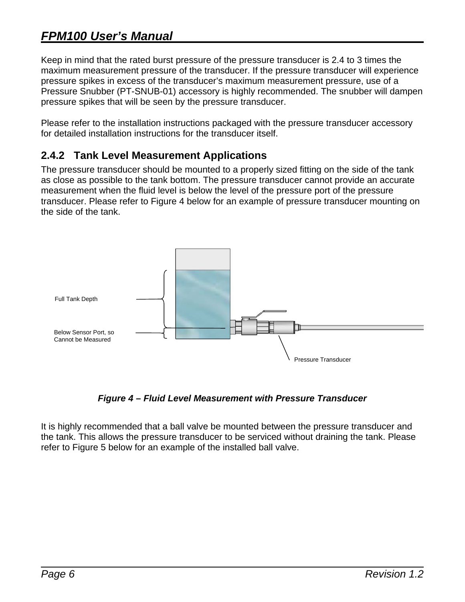## <span id="page-9-0"></span>*FPM100 User's Manual*

Keep in mind that the rated burst pressure of the pressure transducer is 2.4 to 3 times the maximum measurement pressure of the transducer. If the pressure transducer will experience pressure spikes in excess of the transducer's maximum measurement pressure, use of a Pressure Snubber (PT-SNUB-01) accessory is highly recommended. The snubber will dampen pressure spikes that will be seen by the pressure transducer.

Please refer to the installation instructions packaged with the pressure transducer accessory for detailed installation instructions for the transducer itself.

#### **2.4.2 Tank Level Measurement Applications**

The pressure transducer should be mounted to a properly sized fitting on the side of the tank as close as possible to the tank bottom. The pressure transducer cannot provide an accurate measurement when the fluid level is below the level of the pressure port of the pressure transducer. Please refer to Figure 4 below for an example of pressure transducer mounting on the side of the tank.



*Figure 4 – Fluid Level Measurement with Pressure Transducer* 

It is highly recommended that a ball valve be mounted between the pressure transducer and the tank. This allows the pressure transducer to be serviced without draining the tank. Please refer to Figure 5 below for an example of the installed ball valve.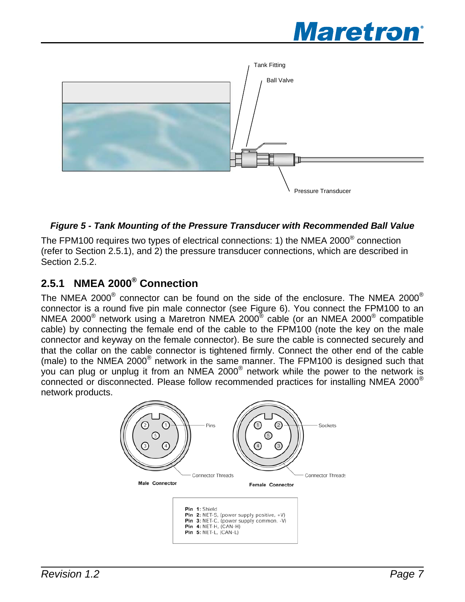

<span id="page-10-0"></span>

#### **Figure 5 - Tank Mounting of the Pressure Transducer with Recommended Ball Value**

The FPM100 requires two types of electrical connections: 1) the NMEA 2000® connection (refer to Section [2.5.1](#page-10-2)), and 2) the pressure transducer connections, which are described in Section [2.5.2](#page-11-1).

## <span id="page-10-2"></span>**2.5.1 NMEA 2000® Connection**

The NMEA 2000 $^{\circ}$  connector can be found on the side of the enclosure. The NMEA 2000 $^{\circ}$ connector is a round five pin male connector (see [Figure 6\)](#page-11-2). You connect the FPM100 to an NMEA 2000® network using a Maretron NMEA 2000® cable (or an NMEA 2000® compatible cable) by connecting the female end of the cable to the FPM100 (note the key on the male connector and keyway on the female connector). Be sure the cable is connected securely and that the collar on the cable connector is tightened firmly. Connect the other end of the cable (male) to the NMEA 2000® network in the same manner. The FPM100 is designed such that you can plug or unplug it from an NMEA 2000® network while the power to the network is connected or disconnected. Please follow recommended practices for installing NMEA 2000® network products.

<span id="page-10-1"></span>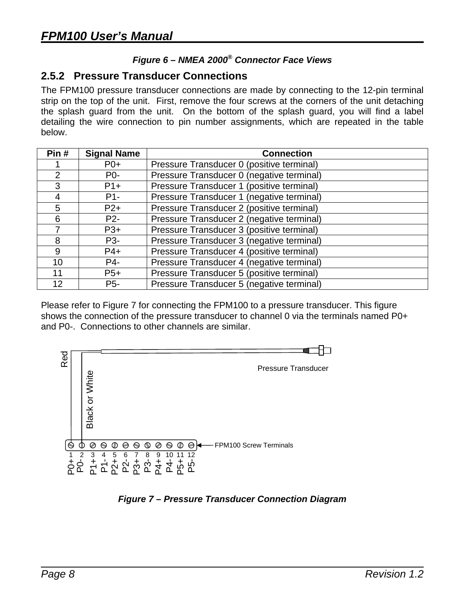#### *Figure 6 – NMEA 2000® Connector Face Views*

#### <span id="page-11-2"></span><span id="page-11-1"></span><span id="page-11-0"></span>**2.5.2 Pressure Transducer Connections**

The FPM100 pressure transducer connections are made by connecting to the 12-pin terminal strip on the top of the unit. First, remove the four screws at the corners of the unit detaching the splash guard from the unit. On the bottom of the splash guard, you will find a label detailing the wire connection to pin number assignments, which are repeated in the table below.

| Pin#            | <b>Signal Name</b> | <b>Connection</b>                         |  |  |
|-----------------|--------------------|-------------------------------------------|--|--|
|                 | $P0+$              | Pressure Transducer 0 (positive terminal) |  |  |
| $\overline{2}$  | P <sub>0</sub> -   | Pressure Transducer 0 (negative terminal) |  |  |
| 3               | $P1+$              | Pressure Transducer 1 (positive terminal) |  |  |
| 4               | $P1 -$             | Pressure Transducer 1 (negative terminal) |  |  |
| 5               | $P2+$              | Pressure Transducer 2 (positive terminal) |  |  |
| 6               | P <sub>2</sub> -   | Pressure Transducer 2 (negative terminal) |  |  |
|                 | $P3+$              | Pressure Transducer 3 (positive terminal) |  |  |
| 8               | P <sub>3</sub> -   | Pressure Transducer 3 (negative terminal) |  |  |
| 9               | $P4+$              | Pressure Transducer 4 (positive terminal) |  |  |
| 10 <sup>°</sup> | P4-                | Pressure Transducer 4 (negative terminal) |  |  |
| 11              | $P5+$              | Pressure Transducer 5 (positive terminal) |  |  |
| 12              | P <sub>5</sub> -   | Pressure Transducer 5 (negative terminal) |  |  |

Please refer to [Figure 7](#page-11-3) for connecting the FPM100 to a pressure transducer. This figure shows the connection of the pressure transducer to channel 0 via the terminals named P0+ and P0-. Connections to other channels are similar.



<span id="page-11-3"></span>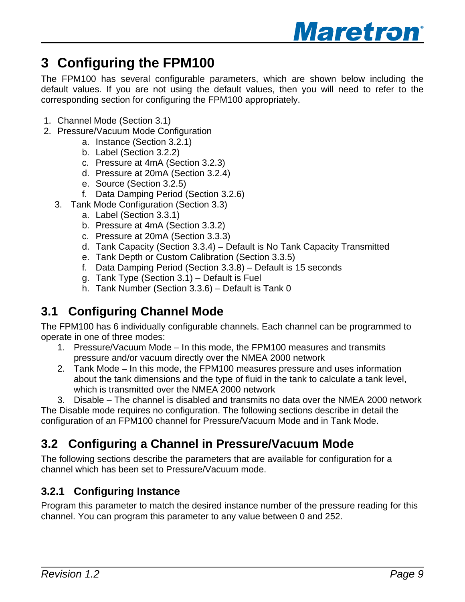

# <span id="page-12-0"></span>**3 Configuring the FPM100**

The FPM100 has several configurable parameters, which are shown below including the default values. If you are not using the default values, then you will need to refer to the corresponding section for configuring the FPM100 appropriately.

- 1. Channel Mode (Section [3.1](#page-12-1))
- 2. Pressure/Vacuum Mode Configuration
	- a. Instance (Section [3.2.1\)](#page-12-2)
	- b. Label (Section [3.2.2\)](#page-13-4)
	- c. Pressure at 4mA (Section [3.2.3\)](#page-13-2)
	- d. Pressure at 20mA (Section [3.2.4](#page-13-3))
	- e. Source (Section [3.2.5](#page-13-1))
	- f. Data Damping Period (Section [3.2.6](#page-13-5))
	- 3. Tank Mode Configuration (Section [3.3](#page-13-6))
		- a. Label (Section [3.3.1\)](#page-13-7)
		- b. Pressure at 4mA (Section [3.3.2\)](#page-14-4)
		- c. Pressure at 20mA (Section [3.3.3](#page-14-5))
		- d. Tank Capacity (Section [3.3.4](#page-14-2)) Default is No Tank Capacity Transmitted
		- e. Tank Depth or Custom Calibration (Section [3.3.5\)](#page-14-6)
		- f. Data Damping Period (Section [3.3.8](#page-16-1)) Default is 15 seconds
		- g. Tank Type (Section [3.1](#page-14-1)) Default is Fuel
		- h. Tank Number (Section [3.3.6](#page-15-1)) Default is Tank 0

## <span id="page-12-1"></span>**3.1 Configuring Channel Mode**

The FPM100 has 6 individually configurable channels. Each channel can be programmed to operate in one of three modes:

- 1. Pressure/Vacuum Mode In this mode, the FPM100 measures and transmits pressure and/or vacuum directly over the NMEA 2000 network
- 2. Tank Mode In this mode, the FPM100 measures pressure and uses information about the tank dimensions and the type of fluid in the tank to calculate a tank level, which is transmitted over the NMEA 2000 network

3. Disable – The channel is disabled and transmits no data over the NMEA 2000 network The Disable mode requires no configuration. The following sections describe in detail the configuration of an FPM100 channel for Pressure/Vacuum Mode and in Tank Mode.

## **3.2 Configuring a Channel in Pressure/Vacuum Mode**

The following sections describe the parameters that are available for configuration for a channel which has been set to Pressure/Vacuum mode.

### <span id="page-12-2"></span>**3.2.1 Configuring Instance**

Program this parameter to match the desired instance number of the pressure reading for this channel. You can program this parameter to any value between 0 and 252.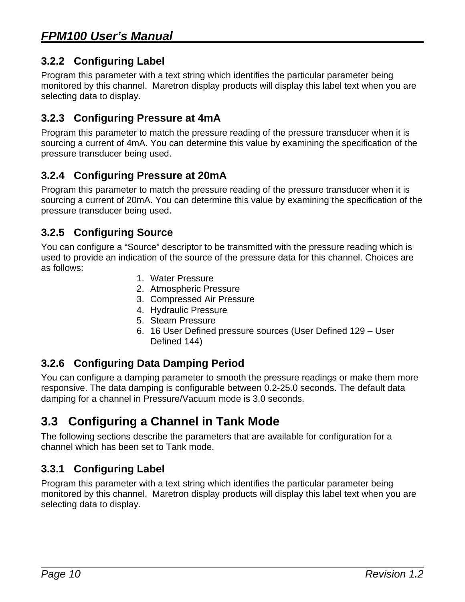#### <span id="page-13-4"></span><span id="page-13-0"></span>**3.2.2 Configuring Label**

Program this parameter with a text string which identifies the particular parameter being monitored by this channel. Maretron display products will display this label text when you are selecting data to display.

#### <span id="page-13-2"></span>**3.2.3 Configuring Pressure at 4mA**

Program this parameter to match the pressure reading of the pressure transducer when it is sourcing a current of 4mA. You can determine this value by examining the specification of the pressure transducer being used.

#### <span id="page-13-3"></span>**3.2.4 Configuring Pressure at 20mA**

Program this parameter to match the pressure reading of the pressure transducer when it is sourcing a current of 20mA. You can determine this value by examining the specification of the pressure transducer being used.

#### <span id="page-13-1"></span>**3.2.5 Configuring Source**

You can configure a "Source" descriptor to be transmitted with the pressure reading which is used to provide an indication of the source of the pressure data for this channel. Choices are as follows:

- 1. Water Pressure
- 2. Atmospheric Pressure
- 3. Compressed Air Pressure
- 4. Hydraulic Pressure
- 5. Steam Pressure
- 6. 16 User Defined pressure sources (User Defined 129 User Defined 144)

#### <span id="page-13-5"></span>**3.2.6 Configuring Data Damping Period**

You can configure a damping parameter to smooth the pressure readings or make them more responsive. The data damping is configurable between 0.2-25.0 seconds. The default data damping for a channel in Pressure/Vacuum mode is 3.0 seconds.

## <span id="page-13-6"></span>**3.3 Configuring a Channel in Tank Mode**

The following sections describe the parameters that are available for configuration for a channel which has been set to Tank mode.

#### <span id="page-13-7"></span>**3.3.1 Configuring Label**

Program this parameter with a text string which identifies the particular parameter being monitored by this channel. Maretron display products will display this label text when you are selecting data to display.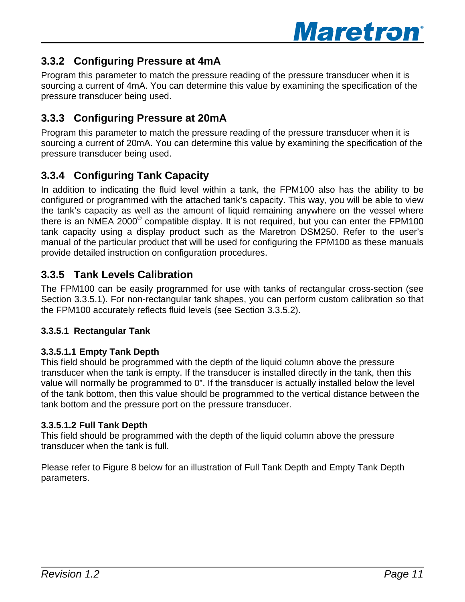

#### <span id="page-14-4"></span><span id="page-14-0"></span>**3.3.2 Configuring Pressure at 4mA**

Program this parameter to match the pressure reading of the pressure transducer when it is sourcing a current of 4mA. You can determine this value by examining the specification of the pressure transducer being used.

#### <span id="page-14-5"></span>**3.3.3 Configuring Pressure at 20mA**

Program this parameter to match the pressure reading of the pressure transducer when it is sourcing a current of 20mA. You can determine this value by examining the specification of the pressure transducer being used.

#### <span id="page-14-2"></span>**3.3.4 Configuring Tank Capacity**

In addition to indicating the fluid level within a tank, the FPM100 also has the ability to be configured or programmed with the attached tank's capacity. This way, you will be able to view the tank's capacity as well as the amount of liquid remaining anywhere on the vessel where there is an NMEA 2000<sup>®</sup> compatible display. It is not required, but you can enter the FPM100 tank capacity using a display product such as the Maretron DSM250. Refer to the user's manual of the particular product that will be used for configuring the FPM100 as these manuals provide detailed instruction on configuration procedures.

#### <span id="page-14-6"></span>**3.3.5 Tank Levels Calibration**

<span id="page-14-1"></span>The FPM100 can be easily programmed for use with tanks of rectangular cross-section (see Section [3.3.5.1\)](#page-14-3). For non-rectangular tank shapes, you can perform custom calibration so that the FPM100 accurately reflects fluid levels (see Section [3.3.5.2\)](#page-15-2).

#### <span id="page-14-3"></span>**3.3.5.1 Rectangular Tank**

#### **3.3.5.1.1 Empty Tank Depth**

This field should be programmed with the depth of the liquid column above the pressure transducer when the tank is empty. If the transducer is installed directly in the tank, then this value will normally be programmed to 0". If the transducer is actually installed below the level of the tank bottom, then this value should be programmed to the vertical distance between the tank bottom and the pressure port on the pressure transducer.

#### **3.3.5.1.2 Full Tank Depth**

This field should be programmed with the depth of the liquid column above the pressure transducer when the tank is full.

Please refer to Figure 8 below for an illustration of Full Tank Depth and Empty Tank Depth parameters.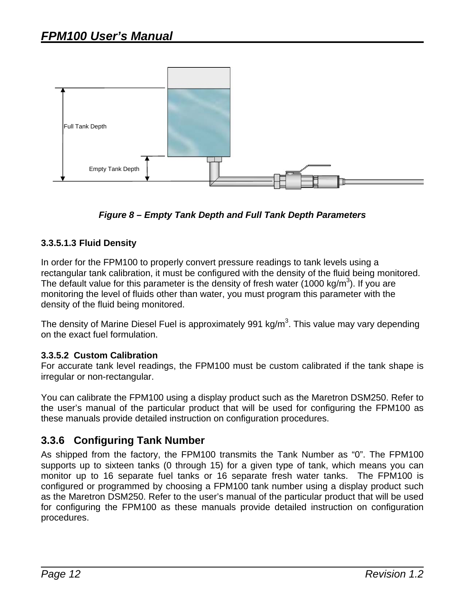<span id="page-15-0"></span>

*Figure 8 – Empty Tank Depth and Full Tank Depth Parameters* 

#### **3.3.5.1.3 Fluid Density**

In order for the FPM100 to properly convert pressure readings to tank levels using a rectangular tank calibration, it must be configured with the density of the fluid being monitored. The default value for this parameter is the density of fresh water (1000 kg/m<sup>3</sup>). If you are monitoring the level of fluids other than water, you must program this parameter with the density of the fluid being monitored.

The density of Marine Diesel Fuel is approximately 991 kg/m<sup>3</sup>. This value may vary depending on the exact fuel formulation.

#### <span id="page-15-2"></span>**3.3.5.2 Custom Calibration**

For accurate tank level readings, the FPM100 must be custom calibrated if the tank shape is irregular or non-rectangular.

You can calibrate the FPM100 using a display product such as the Maretron DSM250. Refer to the user's manual of the particular product that will be used for configuring the FPM100 as these manuals provide detailed instruction on configuration procedures.

#### <span id="page-15-1"></span>**3.3.6 Configuring Tank Number**

As shipped from the factory, the FPM100 transmits the Tank Number as "0". The FPM100 supports up to sixteen tanks (0 through 15) for a given type of tank, which means you can monitor up to 16 separate fuel tanks or 16 separate fresh water tanks. The FPM100 is configured or programmed by choosing a FPM100 tank number using a display product such as the Maretron DSM250. Refer to the user's manual of the particular product that will be used for configuring the FPM100 as these manuals provide detailed instruction on configuration procedures.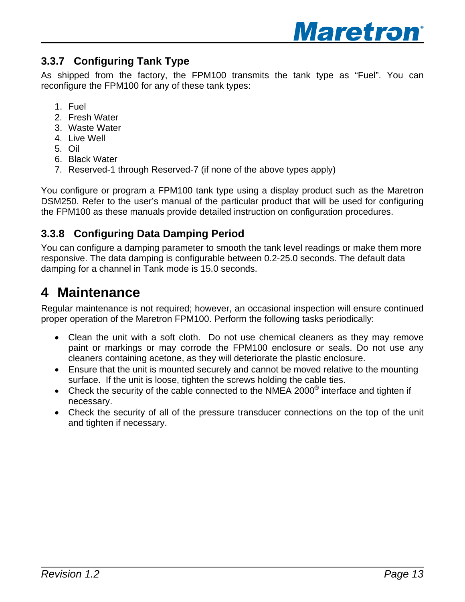

#### <span id="page-16-0"></span>**3.3.7 Configuring Tank Type**

As shipped from the factory, the FPM100 transmits the tank type as "Fuel". You can reconfigure the FPM100 for any of these tank types:

- 1. Fuel
- 2. Fresh Water
- 3. Waste Water
- 4. Live Well
- 5. Oil
- 6. Black Water
- 7. Reserved-1 through Reserved-7 (if none of the above types apply)

You configure or program a FPM100 tank type using a display product such as the Maretron DSM250. Refer to the user's manual of the particular product that will be used for configuring the FPM100 as these manuals provide detailed instruction on configuration procedures.

#### <span id="page-16-1"></span>**3.3.8 Configuring Data Damping Period**

You can configure a damping parameter to smooth the tank level readings or make them more responsive. The data damping is configurable between 0.2-25.0 seconds. The default data damping for a channel in Tank mode is 15.0 seconds.

## **4 Maintenance**

Regular maintenance is not required; however, an occasional inspection will ensure continued proper operation of the Maretron FPM100. Perform the following tasks periodically:

- Clean the unit with a soft cloth. Do not use chemical cleaners as they may remove paint or markings or may corrode the FPM100 enclosure or seals. Do not use any cleaners containing acetone, as they will deteriorate the plastic enclosure.
- Ensure that the unit is mounted securely and cannot be moved relative to the mounting surface. If the unit is loose, tighten the screws holding the cable ties.
- Check the security of the cable connected to the NMEA 2000 $^{\circ}$  interface and tighten if necessary.
- Check the security of all of the pressure transducer connections on the top of the unit and tighten if necessary.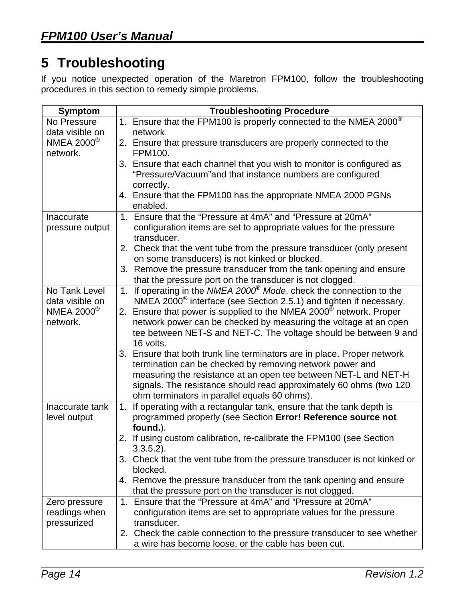# <span id="page-17-0"></span>**5 Troubleshooting**

If you notice unexpected operation of the Maretron FPM100, follow the troubleshooting procedures in this section to remedy simple problems.

| <b>Symptom</b>                                                                                                                                                    | <b>Troubleshooting Procedure</b>                                                                                                                                                                                                                                                                                                                                                                                                                                                                                                                                                                                                                                                                                                                                                                                                                                                                                                                                                                                                                                                                                                                                                                                                                                                                                                                                                                                                                                                                                                                                                                                                                                                                   |  |  |
|-------------------------------------------------------------------------------------------------------------------------------------------------------------------|----------------------------------------------------------------------------------------------------------------------------------------------------------------------------------------------------------------------------------------------------------------------------------------------------------------------------------------------------------------------------------------------------------------------------------------------------------------------------------------------------------------------------------------------------------------------------------------------------------------------------------------------------------------------------------------------------------------------------------------------------------------------------------------------------------------------------------------------------------------------------------------------------------------------------------------------------------------------------------------------------------------------------------------------------------------------------------------------------------------------------------------------------------------------------------------------------------------------------------------------------------------------------------------------------------------------------------------------------------------------------------------------------------------------------------------------------------------------------------------------------------------------------------------------------------------------------------------------------------------------------------------------------------------------------------------------------|--|--|
| No Pressure                                                                                                                                                       | 1. Ensure that the FPM100 is properly connected to the NMEA 2000 <sup>®</sup>                                                                                                                                                                                                                                                                                                                                                                                                                                                                                                                                                                                                                                                                                                                                                                                                                                                                                                                                                                                                                                                                                                                                                                                                                                                                                                                                                                                                                                                                                                                                                                                                                      |  |  |
| data visible on                                                                                                                                                   | network.                                                                                                                                                                                                                                                                                                                                                                                                                                                                                                                                                                                                                                                                                                                                                                                                                                                                                                                                                                                                                                                                                                                                                                                                                                                                                                                                                                                                                                                                                                                                                                                                                                                                                           |  |  |
| <b>NMEA 2000</b> <sup>®</sup>                                                                                                                                     | 2. Ensure that pressure transducers are properly connected to the                                                                                                                                                                                                                                                                                                                                                                                                                                                                                                                                                                                                                                                                                                                                                                                                                                                                                                                                                                                                                                                                                                                                                                                                                                                                                                                                                                                                                                                                                                                                                                                                                                  |  |  |
| network.                                                                                                                                                          | FPM100.                                                                                                                                                                                                                                                                                                                                                                                                                                                                                                                                                                                                                                                                                                                                                                                                                                                                                                                                                                                                                                                                                                                                                                                                                                                                                                                                                                                                                                                                                                                                                                                                                                                                                            |  |  |
|                                                                                                                                                                   | 3. Ensure that each channel that you wish to monitor is configured as                                                                                                                                                                                                                                                                                                                                                                                                                                                                                                                                                                                                                                                                                                                                                                                                                                                                                                                                                                                                                                                                                                                                                                                                                                                                                                                                                                                                                                                                                                                                                                                                                              |  |  |
|                                                                                                                                                                   | "Pressure/Vacuum"and that instance numbers are configured                                                                                                                                                                                                                                                                                                                                                                                                                                                                                                                                                                                                                                                                                                                                                                                                                                                                                                                                                                                                                                                                                                                                                                                                                                                                                                                                                                                                                                                                                                                                                                                                                                          |  |  |
|                                                                                                                                                                   | correctly.                                                                                                                                                                                                                                                                                                                                                                                                                                                                                                                                                                                                                                                                                                                                                                                                                                                                                                                                                                                                                                                                                                                                                                                                                                                                                                                                                                                                                                                                                                                                                                                                                                                                                         |  |  |
|                                                                                                                                                                   | 4. Ensure that the FPM100 has the appropriate NMEA 2000 PGNs                                                                                                                                                                                                                                                                                                                                                                                                                                                                                                                                                                                                                                                                                                                                                                                                                                                                                                                                                                                                                                                                                                                                                                                                                                                                                                                                                                                                                                                                                                                                                                                                                                       |  |  |
|                                                                                                                                                                   | enabled.                                                                                                                                                                                                                                                                                                                                                                                                                                                                                                                                                                                                                                                                                                                                                                                                                                                                                                                                                                                                                                                                                                                                                                                                                                                                                                                                                                                                                                                                                                                                                                                                                                                                                           |  |  |
| Inaccurate                                                                                                                                                        | 1. Ensure that the "Pressure at 4mA" and "Pressure at 20mA"                                                                                                                                                                                                                                                                                                                                                                                                                                                                                                                                                                                                                                                                                                                                                                                                                                                                                                                                                                                                                                                                                                                                                                                                                                                                                                                                                                                                                                                                                                                                                                                                                                        |  |  |
| pressure output                                                                                                                                                   | configuration items are set to appropriate values for the pressure                                                                                                                                                                                                                                                                                                                                                                                                                                                                                                                                                                                                                                                                                                                                                                                                                                                                                                                                                                                                                                                                                                                                                                                                                                                                                                                                                                                                                                                                                                                                                                                                                                 |  |  |
|                                                                                                                                                                   | transducer.                                                                                                                                                                                                                                                                                                                                                                                                                                                                                                                                                                                                                                                                                                                                                                                                                                                                                                                                                                                                                                                                                                                                                                                                                                                                                                                                                                                                                                                                                                                                                                                                                                                                                        |  |  |
|                                                                                                                                                                   | 2. Check that the vent tube from the pressure transducer (only present                                                                                                                                                                                                                                                                                                                                                                                                                                                                                                                                                                                                                                                                                                                                                                                                                                                                                                                                                                                                                                                                                                                                                                                                                                                                                                                                                                                                                                                                                                                                                                                                                             |  |  |
|                                                                                                                                                                   |                                                                                                                                                                                                                                                                                                                                                                                                                                                                                                                                                                                                                                                                                                                                                                                                                                                                                                                                                                                                                                                                                                                                                                                                                                                                                                                                                                                                                                                                                                                                                                                                                                                                                                    |  |  |
|                                                                                                                                                                   |                                                                                                                                                                                                                                                                                                                                                                                                                                                                                                                                                                                                                                                                                                                                                                                                                                                                                                                                                                                                                                                                                                                                                                                                                                                                                                                                                                                                                                                                                                                                                                                                                                                                                                    |  |  |
|                                                                                                                                                                   |                                                                                                                                                                                                                                                                                                                                                                                                                                                                                                                                                                                                                                                                                                                                                                                                                                                                                                                                                                                                                                                                                                                                                                                                                                                                                                                                                                                                                                                                                                                                                                                                                                                                                                    |  |  |
|                                                                                                                                                                   |                                                                                                                                                                                                                                                                                                                                                                                                                                                                                                                                                                                                                                                                                                                                                                                                                                                                                                                                                                                                                                                                                                                                                                                                                                                                                                                                                                                                                                                                                                                                                                                                                                                                                                    |  |  |
|                                                                                                                                                                   |                                                                                                                                                                                                                                                                                                                                                                                                                                                                                                                                                                                                                                                                                                                                                                                                                                                                                                                                                                                                                                                                                                                                                                                                                                                                                                                                                                                                                                                                                                                                                                                                                                                                                                    |  |  |
|                                                                                                                                                                   |                                                                                                                                                                                                                                                                                                                                                                                                                                                                                                                                                                                                                                                                                                                                                                                                                                                                                                                                                                                                                                                                                                                                                                                                                                                                                                                                                                                                                                                                                                                                                                                                                                                                                                    |  |  |
|                                                                                                                                                                   |                                                                                                                                                                                                                                                                                                                                                                                                                                                                                                                                                                                                                                                                                                                                                                                                                                                                                                                                                                                                                                                                                                                                                                                                                                                                                                                                                                                                                                                                                                                                                                                                                                                                                                    |  |  |
|                                                                                                                                                                   |                                                                                                                                                                                                                                                                                                                                                                                                                                                                                                                                                                                                                                                                                                                                                                                                                                                                                                                                                                                                                                                                                                                                                                                                                                                                                                                                                                                                                                                                                                                                                                                                                                                                                                    |  |  |
|                                                                                                                                                                   |                                                                                                                                                                                                                                                                                                                                                                                                                                                                                                                                                                                                                                                                                                                                                                                                                                                                                                                                                                                                                                                                                                                                                                                                                                                                                                                                                                                                                                                                                                                                                                                                                                                                                                    |  |  |
|                                                                                                                                                                   |                                                                                                                                                                                                                                                                                                                                                                                                                                                                                                                                                                                                                                                                                                                                                                                                                                                                                                                                                                                                                                                                                                                                                                                                                                                                                                                                                                                                                                                                                                                                                                                                                                                                                                    |  |  |
|                                                                                                                                                                   |                                                                                                                                                                                                                                                                                                                                                                                                                                                                                                                                                                                                                                                                                                                                                                                                                                                                                                                                                                                                                                                                                                                                                                                                                                                                                                                                                                                                                                                                                                                                                                                                                                                                                                    |  |  |
|                                                                                                                                                                   |                                                                                                                                                                                                                                                                                                                                                                                                                                                                                                                                                                                                                                                                                                                                                                                                                                                                                                                                                                                                                                                                                                                                                                                                                                                                                                                                                                                                                                                                                                                                                                                                                                                                                                    |  |  |
|                                                                                                                                                                   |                                                                                                                                                                                                                                                                                                                                                                                                                                                                                                                                                                                                                                                                                                                                                                                                                                                                                                                                                                                                                                                                                                                                                                                                                                                                                                                                                                                                                                                                                                                                                                                                                                                                                                    |  |  |
|                                                                                                                                                                   |                                                                                                                                                                                                                                                                                                                                                                                                                                                                                                                                                                                                                                                                                                                                                                                                                                                                                                                                                                                                                                                                                                                                                                                                                                                                                                                                                                                                                                                                                                                                                                                                                                                                                                    |  |  |
|                                                                                                                                                                   |                                                                                                                                                                                                                                                                                                                                                                                                                                                                                                                                                                                                                                                                                                                                                                                                                                                                                                                                                                                                                                                                                                                                                                                                                                                                                                                                                                                                                                                                                                                                                                                                                                                                                                    |  |  |
|                                                                                                                                                                   |                                                                                                                                                                                                                                                                                                                                                                                                                                                                                                                                                                                                                                                                                                                                                                                                                                                                                                                                                                                                                                                                                                                                                                                                                                                                                                                                                                                                                                                                                                                                                                                                                                                                                                    |  |  |
|                                                                                                                                                                   |                                                                                                                                                                                                                                                                                                                                                                                                                                                                                                                                                                                                                                                                                                                                                                                                                                                                                                                                                                                                                                                                                                                                                                                                                                                                                                                                                                                                                                                                                                                                                                                                                                                                                                    |  |  |
|                                                                                                                                                                   |                                                                                                                                                                                                                                                                                                                                                                                                                                                                                                                                                                                                                                                                                                                                                                                                                                                                                                                                                                                                                                                                                                                                                                                                                                                                                                                                                                                                                                                                                                                                                                                                                                                                                                    |  |  |
|                                                                                                                                                                   |                                                                                                                                                                                                                                                                                                                                                                                                                                                                                                                                                                                                                                                                                                                                                                                                                                                                                                                                                                                                                                                                                                                                                                                                                                                                                                                                                                                                                                                                                                                                                                                                                                                                                                    |  |  |
|                                                                                                                                                                   |                                                                                                                                                                                                                                                                                                                                                                                                                                                                                                                                                                                                                                                                                                                                                                                                                                                                                                                                                                                                                                                                                                                                                                                                                                                                                                                                                                                                                                                                                                                                                                                                                                                                                                    |  |  |
|                                                                                                                                                                   |                                                                                                                                                                                                                                                                                                                                                                                                                                                                                                                                                                                                                                                                                                                                                                                                                                                                                                                                                                                                                                                                                                                                                                                                                                                                                                                                                                                                                                                                                                                                                                                                                                                                                                    |  |  |
|                                                                                                                                                                   |                                                                                                                                                                                                                                                                                                                                                                                                                                                                                                                                                                                                                                                                                                                                                                                                                                                                                                                                                                                                                                                                                                                                                                                                                                                                                                                                                                                                                                                                                                                                                                                                                                                                                                    |  |  |
|                                                                                                                                                                   |                                                                                                                                                                                                                                                                                                                                                                                                                                                                                                                                                                                                                                                                                                                                                                                                                                                                                                                                                                                                                                                                                                                                                                                                                                                                                                                                                                                                                                                                                                                                                                                                                                                                                                    |  |  |
|                                                                                                                                                                   |                                                                                                                                                                                                                                                                                                                                                                                                                                                                                                                                                                                                                                                                                                                                                                                                                                                                                                                                                                                                                                                                                                                                                                                                                                                                                                                                                                                                                                                                                                                                                                                                                                                                                                    |  |  |
|                                                                                                                                                                   |                                                                                                                                                                                                                                                                                                                                                                                                                                                                                                                                                                                                                                                                                                                                                                                                                                                                                                                                                                                                                                                                                                                                                                                                                                                                                                                                                                                                                                                                                                                                                                                                                                                                                                    |  |  |
|                                                                                                                                                                   |                                                                                                                                                                                                                                                                                                                                                                                                                                                                                                                                                                                                                                                                                                                                                                                                                                                                                                                                                                                                                                                                                                                                                                                                                                                                                                                                                                                                                                                                                                                                                                                                                                                                                                    |  |  |
|                                                                                                                                                                   |                                                                                                                                                                                                                                                                                                                                                                                                                                                                                                                                                                                                                                                                                                                                                                                                                                                                                                                                                                                                                                                                                                                                                                                                                                                                                                                                                                                                                                                                                                                                                                                                                                                                                                    |  |  |
| No Tank Level<br>data visible on<br><b>NMEA 2000</b> <sup>®</sup><br>network.<br>Inaccurate tank<br>level output<br>Zero pressure<br>readings when<br>pressurized | on some transducers) is not kinked or blocked.<br>3. Remove the pressure transducer from the tank opening and ensure<br>that the pressure port on the transducer is not clogged.<br>1. If operating in the NMEA 2000 <sup>®</sup> Mode, check the connection to the<br>NMEA 2000 $^{\circ}$ interface (see Section 2.5.1) and tighten if necessary.<br>2. Ensure that power is supplied to the NMEA 2000 <sup>®</sup> network. Proper<br>network power can be checked by measuring the voltage at an open<br>tee between NET-S and NET-C. The voltage should be between 9 and<br>16 volts.<br>3. Ensure that both trunk line terminators are in place. Proper network<br>termination can be checked by removing network power and<br>measuring the resistance at an open tee between NET-L and NET-H<br>signals. The resistance should read approximately 60 ohms (two 120<br>ohm terminators in parallel equals 60 ohms).<br>If operating with a rectangular tank, ensure that the tank depth is<br>1.<br>programmed properly (see Section Error! Reference source not<br>found.).<br>2. If using custom calibration, re-calibrate the FPM100 (see Section<br>$3.3.5.2$ ).<br>Check that the vent tube from the pressure transducer is not kinked or<br>3.<br>blocked.<br>4. Remove the pressure transducer from the tank opening and ensure<br>that the pressure port on the transducer is not clogged.<br>Ensure that the "Pressure at 4mA" and "Pressure at 20mA"<br>1.<br>configuration items are set to appropriate values for the pressure<br>transducer.<br>2. Check the cable connection to the pressure transducer to see whether<br>a wire has become loose, or the cable has been cut. |  |  |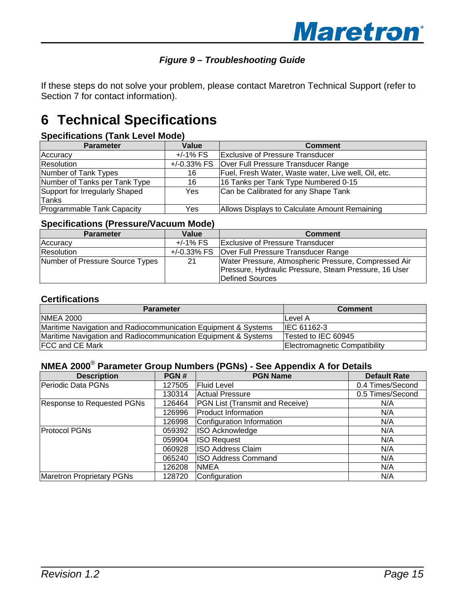#### *Figure 9 – Troubleshooting Guide*

<span id="page-18-0"></span>If these steps do not solve your problem, please contact Maretron Technical Support (refer to Section [7](#page-19-1) for contact information).

# **6 Technical Specifications**

#### **Specifications (Tank Level Mode)**

| <b>Parameter</b>               | Value         | <b>Comment</b>                                       |  |
|--------------------------------|---------------|------------------------------------------------------|--|
| Accuracy                       | $+/-1\%$ FS   | Exclusive of Pressure Transducer                     |  |
| Resolution                     | $+/-0.33%$ FS | Over Full Pressure Transducer Range                  |  |
| Number of Tank Types           | 16            | Fuel, Fresh Water, Waste water, Live well, Oil, etc. |  |
| Number of Tanks per Tank Type  | 16            | 16 Tanks per Tank Type Numbered 0-15                 |  |
| Support for Irregularly Shaped | Yes.          | Can be Calibrated for any Shape Tank                 |  |
| Tanks                          |               |                                                      |  |
| Programmable Tank Capacity     | Yes           | Allows Displays to Calculate Amount Remaining        |  |

#### **Specifications (Pressure/Vacuum Mode)**

| <b>Parameter</b>                | Value       | <b>Comment</b>                                        |  |
|---------------------------------|-------------|-------------------------------------------------------|--|
| Accuracy                        | $+/-1\%$ FS | <b>Exclusive of Pressure Transducer</b>               |  |
| Resolution                      | +/-0.33% FS | Over Full Pressure Transducer Range                   |  |
| Number of Pressure Source Types | 21          | Water Pressure, Atmospheric Pressure, Compressed Air  |  |
|                                 |             | Pressure, Hydraulic Pressure, Steam Pressure, 16 User |  |
|                                 |             | Defined Sources                                       |  |

#### **Certifications**

| <b>Parameter</b>                                               | <b>Comment</b>                |
|----------------------------------------------------------------|-------------------------------|
| <b>NMEA 2000</b>                                               | Level A                       |
| Maritime Navigation and Radiocommunication Equipment & Systems | IEC 61162-3                   |
| Maritime Navigation and Radiocommunication Equipment & Systems | Tested to IEC 60945           |
| <b>FCC and CE Mark</b>                                         | Electromagnetic Compatibility |

## **NMEA 2000**® **Parameter Group Numbers (PGNs) - See Appendix A for Details**

| <b>Description</b>                | PGN#   | <b>PGN Name</b>                        | <b>Default Rate</b> |
|-----------------------------------|--------|----------------------------------------|---------------------|
| Periodic Data PGNs                | 127505 | <b>Fluid Level</b>                     | 0.4 Times/Second    |
|                                   | 130314 | <b>Actual Pressure</b>                 | 0.5 Times/Second    |
| <b>Response to Requested PGNs</b> | 126464 | <b>PGN List (Transmit and Receive)</b> | N/A                 |
|                                   | 126996 | <b>Product Information</b>             | N/A                 |
|                                   | 126998 | Configuration Information              | N/A                 |
| <b>Protocol PGNs</b>              | 059392 | <b>ISO Acknowledge</b>                 | N/A                 |
|                                   | 059904 | <b>ISO Request</b>                     | N/A                 |
|                                   | 060928 | <b>ISO Address Claim</b>               | N/A                 |
|                                   | 065240 | <b>ISO Address Command</b>             | N/A                 |
|                                   | 126208 | <b>NMEA</b>                            | N/A                 |
| <b>Maretron Proprietary PGNs</b>  | 128720 | Configuration<br>N/A                   |                     |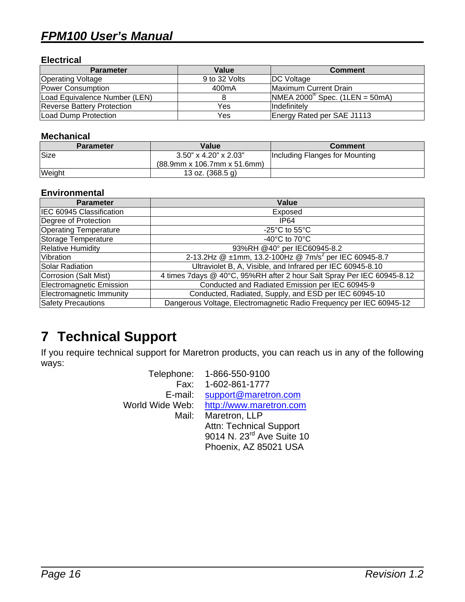## <span id="page-19-0"></span>*FPM100 User's Manual*

#### **Electrical**

| <b>Parameter</b>                  | Value              | <b>Comment</b>                          |
|-----------------------------------|--------------------|-----------------------------------------|
| <b>Operating Voltage</b>          | 9 to 32 Volts      | <b>DC</b> Voltage                       |
| Power Consumption                 | 400 <sub>m</sub> A | Maximum Current Drain                   |
| Load Equivalence Number (LEN)     |                    | $MHEA 2000^{\circ}$ Spec. (1LEN = 50mA) |
| <b>Reverse Battery Protection</b> | Yes                | Indefinitely                            |
| Load Dump Protection              | Yes                | Energy Rated per SAE J1113              |

#### **Mechanical**

| <b>Parameter</b> | Value                          | <b>Comment</b>                 |
|------------------|--------------------------------|--------------------------------|
| <b>Size</b>      | $3.50$ " x 4.20" x 2.03"       | Including Flanges for Mounting |
|                  | $(88.9$ mm x 106.7mm x 51.6mm) |                                |
| Weight           | 13 oz. $(368.5 g)$             |                                |

#### **Environmental**

| <b>Parameter</b>             | Value                                                                  |
|------------------------------|------------------------------------------------------------------------|
| IEC 60945 Classification     | Exposed                                                                |
| Degree of Protection         | IP <sub>64</sub>                                                       |
| <b>Operating Temperature</b> | -25 $\mathrm{^{\circ}C}$ to 55 $\mathrm{^{\circ}C}$                    |
| Storage Temperature          | -40 $^{\circ}$ C to 70 $^{\circ}$ C                                    |
| <b>Relative Humidity</b>     | 93%RH @40° per IEC60945-8.2                                            |
| Vibration                    | 2-13.2Hz @ ±1mm, 13.2-100Hz @ 7m/s <sup>2</sup> per IEC 60945-8.7      |
| Solar Radiation              | Ultraviolet B, A, Visible, and Infrared per IEC 60945-8.10             |
| Corrosion (Salt Mist)        | 4 times 7days @ 40°C, 95%RH after 2 hour Salt Spray Per IEC 60945-8.12 |
| Electromagnetic Emission     | Conducted and Radiated Emission per IEC 60945-9                        |
| Electromagnetic Immunity     | Conducted, Radiated, Supply, and ESD per IEC 60945-10                  |
| <b>Safety Precautions</b>    | Dangerous Voltage, Electromagnetic Radio Frequency per IEC 60945-12    |

# <span id="page-19-1"></span>**7 Technical Support**

If you require technical support for Maretron products, you can reach us in any of the following ways:

|                 | Telephone: 1-866-550-9100      |
|-----------------|--------------------------------|
|                 | Fax: 1-602-861-1777            |
| E-mail:         | support@maretron.com           |
| World Wide Web: | http://www.maretron.com        |
| Mail:           | Maretron, LLP                  |
|                 | <b>Attn: Technical Support</b> |
|                 | 9014 N. 23rd Ave Suite 10      |
|                 | Phoenix, AZ 85021 USA          |
|                 |                                |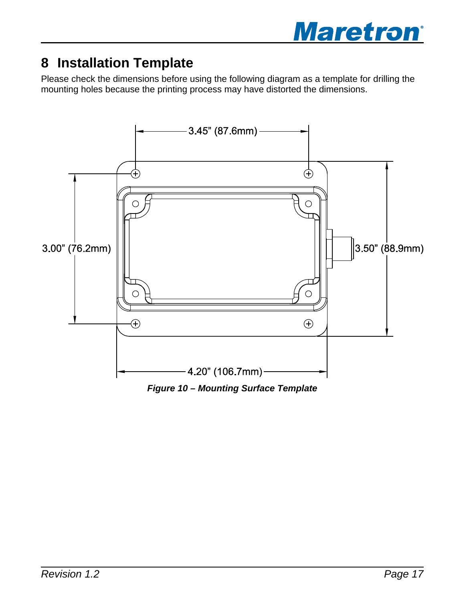

# <span id="page-20-0"></span>**8 Installation Template**

Please check the dimensions before using the following diagram as a template for drilling the mounting holes because the printing process may have distorted the dimensions.



*Figure 10 – Mounting Surface Template*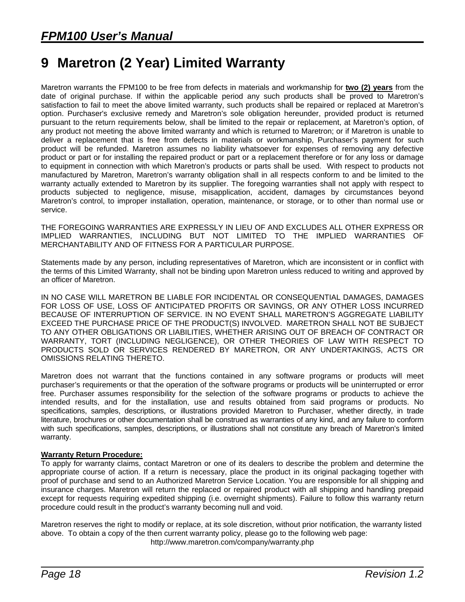# <span id="page-21-0"></span>**9 Maretron (2 Year) Limited Warranty**

Maretron warrants the FPM100 to be free from defects in materials and workmanship for **two (2) years** from the date of original purchase. If within the applicable period any such products shall be proved to Maretron's satisfaction to fail to meet the above limited warranty, such products shall be repaired or replaced at Maretron's option. Purchaser's exclusive remedy and Maretron's sole obligation hereunder, provided product is returned pursuant to the return requirements below, shall be limited to the repair or replacement, at Maretron's option, of any product not meeting the above limited warranty and which is returned to Maretron; or if Maretron is unable to deliver a replacement that is free from defects in materials or workmanship, Purchaser's payment for such product will be refunded. Maretron assumes no liability whatsoever for expenses of removing any defective product or part or for installing the repaired product or part or a replacement therefore or for any loss or damage to equipment in connection with which Maretron's products or parts shall be used. With respect to products not manufactured by Maretron, Maretron's warranty obligation shall in all respects conform to and be limited to the warranty actually extended to Maretron by its supplier. The foregoing warranties shall not apply with respect to products subjected to negligence, misuse, misapplication, accident, damages by circumstances beyond Maretron's control, to improper installation, operation, maintenance, or storage, or to other than normal use or service.

THE FOREGOING WARRANTIES ARE EXPRESSLY IN LIEU OF AND EXCLUDES ALL OTHER EXPRESS OR IMPLIED WARRANTIES, INCLUDING BUT NOT LIMITED TO THE IMPLIED WARRANTIES OF MERCHANTABILITY AND OF FITNESS FOR A PARTICULAR PURPOSE.

Statements made by any person, including representatives of Maretron, which are inconsistent or in conflict with the terms of this Limited Warranty, shall not be binding upon Maretron unless reduced to writing and approved by an officer of Maretron.

IN NO CASE WILL MARETRON BE LIABLE FOR INCIDENTAL OR CONSEQUENTIAL DAMAGES, DAMAGES FOR LOSS OF USE, LOSS OF ANTICIPATED PROFITS OR SAVINGS, OR ANY OTHER LOSS INCURRED BECAUSE OF INTERRUPTION OF SERVICE. IN NO EVENT SHALL MARETRON'S AGGREGATE LIABILITY EXCEED THE PURCHASE PRICE OF THE PRODUCT(S) INVOLVED. MARETRON SHALL NOT BE SUBJECT TO ANY OTHER OBLIGATIONS OR LIABILITIES, WHETHER ARISING OUT OF BREACH OF CONTRACT OR WARRANTY, TORT (INCLUDING NEGLIGENCE), OR OTHER THEORIES OF LAW WITH RESPECT TO PRODUCTS SOLD OR SERVICES RENDERED BY MARETRON, OR ANY UNDERTAKINGS, ACTS OR OMISSIONS RELATING THERETO.

Maretron does not warrant that the functions contained in any software programs or products will meet purchaser's requirements or that the operation of the software programs or products will be uninterrupted or error free. Purchaser assumes responsibility for the selection of the software programs or products to achieve the intended results, and for the installation, use and results obtained from said programs or products. No specifications, samples, descriptions, or illustrations provided Maretron to Purchaser, whether directly, in trade literature, brochures or other documentation shall be construed as warranties of any kind, and any failure to conform with such specifications, samples, descriptions, or illustrations shall not constitute any breach of Maretron's limited warranty.

#### **Warranty Return Procedure:**

To apply for warranty claims, contact Maretron or one of its dealers to describe the problem and determine the appropriate course of action. If a return is necessary, place the product in its original packaging together with proof of purchase and send to an Authorized Maretron Service Location. You are responsible for all shipping and insurance charges. Maretron will return the replaced or repaired product with all shipping and handling prepaid except for requests requiring expedited shipping (i.e. overnight shipments). Failure to follow this warranty return procedure could result in the product's warranty becoming null and void.

Maretron reserves the right to modify or replace, at its sole discretion, without prior notification, the warranty listed above. To obtain a copy of the then current warranty policy, please go to the following web page: http://www.maretron.com/company/warranty.php